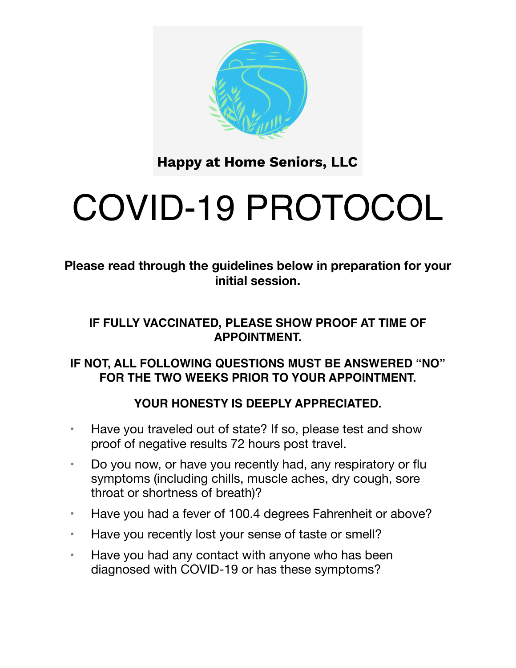

**Happy at Home Seniors, LLC** 

# COVID-19 PROTOCOL

**Please read through the guidelines below in preparation for your initial session.** 

## **IF FULLY VACCINATED, PLEASE SHOW PROOF AT TIME OF APPOINTMENT.**

#### **IF NOT, ALL FOLLOWING QUESTIONS MUST BE ANSWERED "NO" FOR THE TWO WEEKS PRIOR TO YOUR APPOINTMENT.**

## **YOUR HONESTY IS DEEPLY APPRECIATED.**

- Have you traveled out of state? If so, please test and show proof of negative results 72 hours post travel.
- Do you now, or have you recently had, any respiratory or flu symptoms (including chills, muscle aches, dry cough, sore throat or shortness of breath)?
- Have you had a fever of 100.4 degrees Fahrenheit or above?
- Have you recently lost your sense of taste or smell?
- Have you had any contact with anyone who has been diagnosed with COVID-19 or has these symptoms?